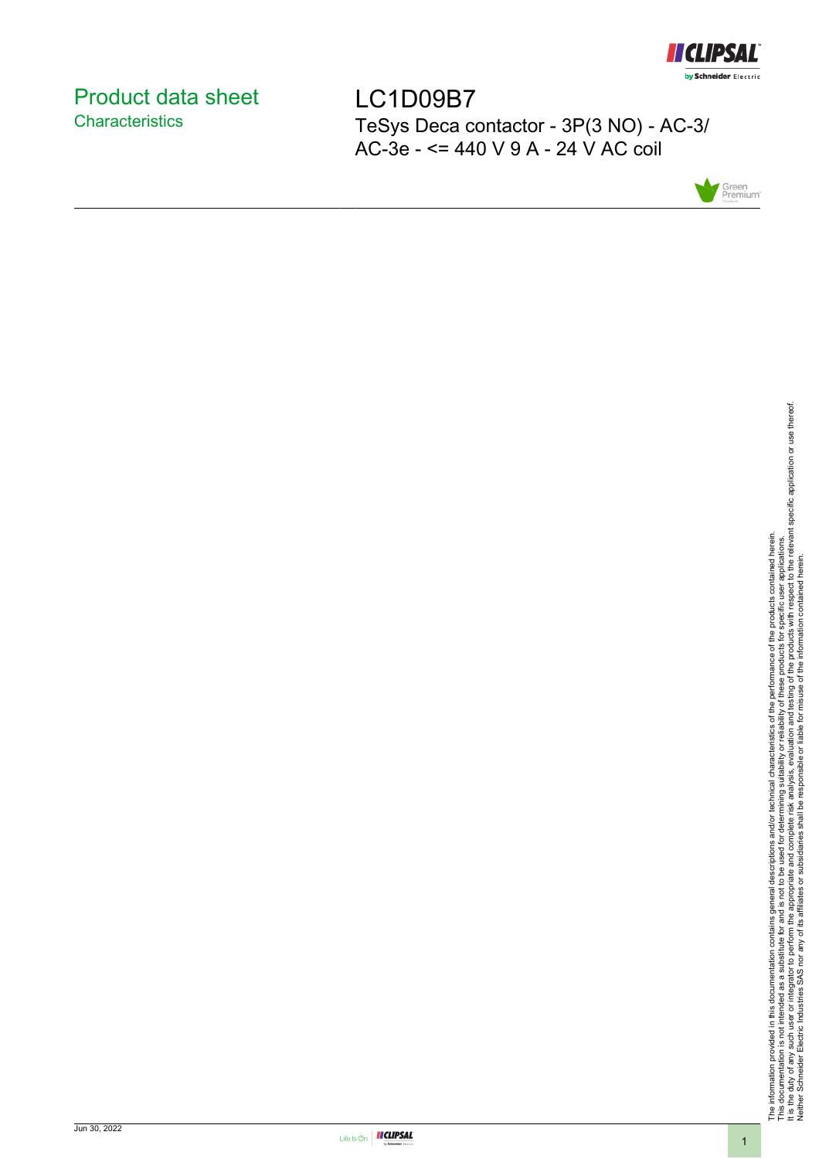

# <span id="page-0-0"></span>Product data sheet **Characteristics**

LC1D09B7 TeSys Deca contactor - 3P(3 NO) - AC-3/ AC-3e - <= 440 V 9 A - 24 V AC coil



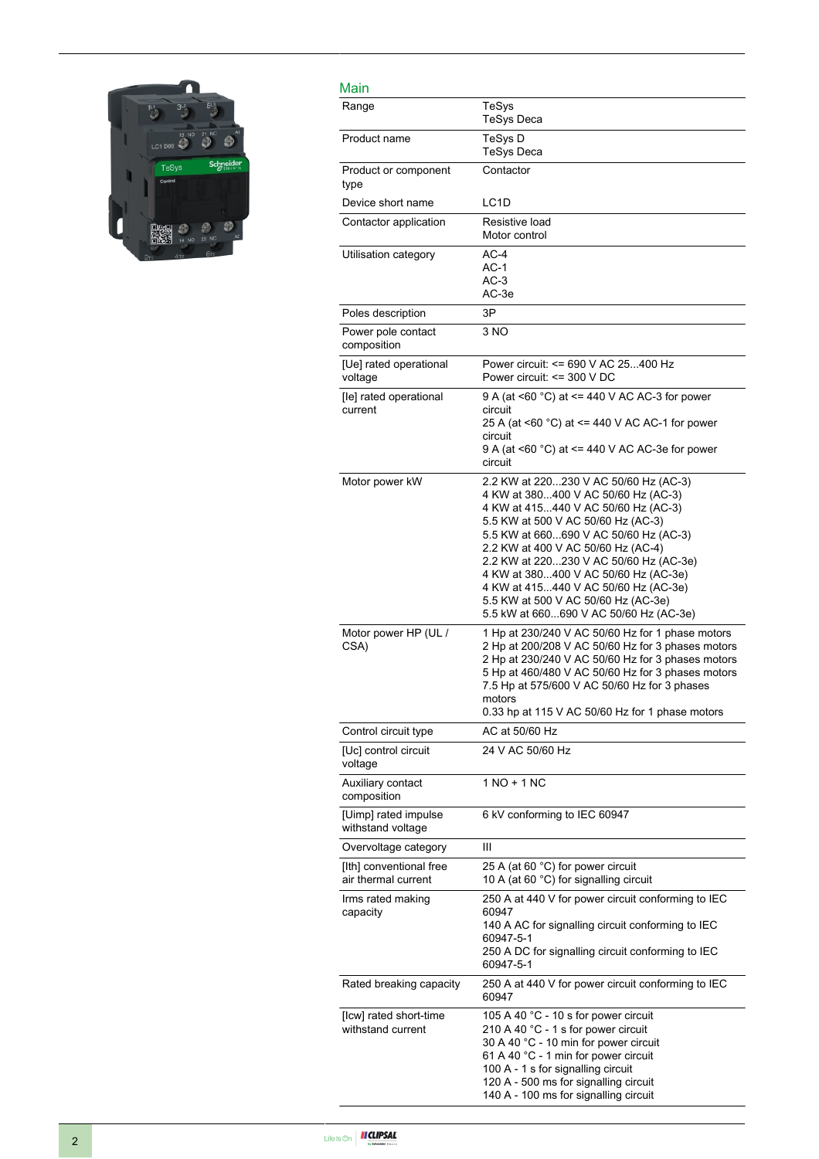

| Main                                           |                                                                                                                                                                                                                                                                                                                                                                                                                                                     |
|------------------------------------------------|-----------------------------------------------------------------------------------------------------------------------------------------------------------------------------------------------------------------------------------------------------------------------------------------------------------------------------------------------------------------------------------------------------------------------------------------------------|
| Range                                          | TeSys<br><b>TeSys Deca</b>                                                                                                                                                                                                                                                                                                                                                                                                                          |
| Product name                                   | TeSys D<br><b>TeSys Deca</b>                                                                                                                                                                                                                                                                                                                                                                                                                        |
| Product or component<br>type                   | Contactor                                                                                                                                                                                                                                                                                                                                                                                                                                           |
| Device short name                              | LC <sub>1</sub> D                                                                                                                                                                                                                                                                                                                                                                                                                                   |
| Contactor application                          | Resistive load<br>Motor control                                                                                                                                                                                                                                                                                                                                                                                                                     |
| Utilisation category                           | $AC-4$<br>$AC-1$<br>$AC-3$<br>AC-3e                                                                                                                                                                                                                                                                                                                                                                                                                 |
| Poles description                              | 3P                                                                                                                                                                                                                                                                                                                                                                                                                                                  |
| Power pole contact<br>composition              | 3 NO                                                                                                                                                                                                                                                                                                                                                                                                                                                |
| [Ue] rated operational<br>voltage              | Power circuit: <= 690 V AC 25400 Hz<br>Power circuit: <= 300 V DC                                                                                                                                                                                                                                                                                                                                                                                   |
| [le] rated operational<br>current              | 9 A (at <60 °C) at <= 440 V AC AC-3 for power<br>circuit<br>25 A (at <60 °C) at <= 440 V AC AC-1 for power<br>circuit<br>9 A (at <60 °C) at <= 440 V AC AC-3e for power<br>circuit                                                                                                                                                                                                                                                                  |
| Motor power kW                                 | 2.2 KW at 220230 V AC 50/60 Hz (AC-3)<br>4 KW at 380400 V AC 50/60 Hz (AC-3)<br>4 KW at 415440 V AC 50/60 Hz (AC-3)<br>5.5 KW at 500 V AC 50/60 Hz (AC-3)<br>5.5 KW at 660690 V AC 50/60 Hz (AC-3)<br>2.2 KW at 400 V AC 50/60 Hz (AC-4)<br>2.2 KW at 220230 V AC 50/60 Hz (AC-3e)<br>4 KW at 380400 V AC 50/60 Hz (AC-3e)<br>4 KW at 415440 V AC 50/60 Hz (AC-3e)<br>5.5 KW at 500 V AC 50/60 Hz (AC-3e)<br>5.5 kW at 660690 V AC 50/60 Hz (AC-3e) |
| Motor power HP (UL /<br>CSA)                   | 1 Hp at 230/240 V AC 50/60 Hz for 1 phase motors<br>2 Hp at 200/208 V AC 50/60 Hz for 3 phases motors<br>2 Hp at 230/240 V AC 50/60 Hz for 3 phases motors<br>5 Hp at 460/480 V AC 50/60 Hz for 3 phases motors<br>7.5 Hp at 575/600 V AC 50/60 Hz for 3 phases<br>motors<br>0.33 hp at 115 V AC 50/60 Hz for 1 phase motors                                                                                                                        |
| Control circuit type                           | AC at 50/60 Hz                                                                                                                                                                                                                                                                                                                                                                                                                                      |
| [Uc] control circuit<br>voltage                | 24 V AC 50/60 Hz                                                                                                                                                                                                                                                                                                                                                                                                                                    |
| Auxiliary contact<br>composition               | 1 NO + 1 NC                                                                                                                                                                                                                                                                                                                                                                                                                                         |
| [Uimp] rated impulse<br>withstand voltage      | 6 kV conforming to IEC 60947                                                                                                                                                                                                                                                                                                                                                                                                                        |
| Overvoltage category                           | Ш                                                                                                                                                                                                                                                                                                                                                                                                                                                   |
| [Ith] conventional free<br>air thermal current | 25 A (at 60 °C) for power circuit<br>10 A (at 60 °C) for signalling circuit                                                                                                                                                                                                                                                                                                                                                                         |
| Irms rated making<br>capacity                  | 250 A at 440 V for power circuit conforming to IEC<br>60947<br>140 A AC for signalling circuit conforming to IEC<br>60947-5-1<br>250 A DC for signalling circuit conforming to IEC<br>60947-5-1                                                                                                                                                                                                                                                     |
| Rated breaking capacity                        | 250 A at 440 V for power circuit conforming to IEC<br>60947                                                                                                                                                                                                                                                                                                                                                                                         |
| [Icw] rated short-time<br>withstand current    | 105 A 40 °C - 10 s for power circuit<br>210 A 40 °C - 1 s for power circuit<br>30 A 40 °C - 10 min for power circuit<br>61 A 40 °C - 1 min for power circuit<br>100 A - 1 s for signalling circuit<br>120 A - 500 ms for signalling circuit<br>140 A - 100 ms for signalling circuit                                                                                                                                                                |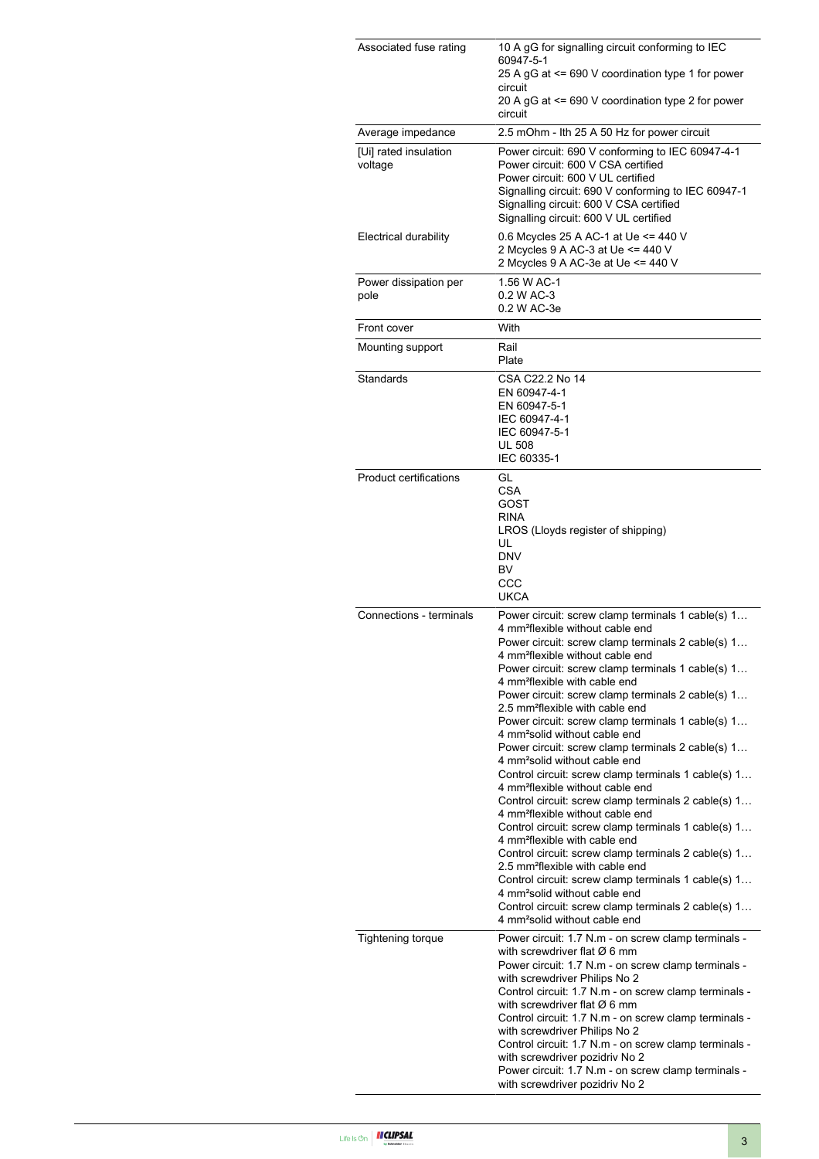| Associated fuse rating           | 10 A gG for signalling circuit conforming to IEC<br>60947-5-1<br>25 A gG at <= 690 V coordination type 1 for power<br>circuit<br>20 A gG at <= 690 V coordination type 2 for power                                                                                                                                                                                                                                                                                                                                                                                                                                                                                                                                                                                                                                                                                                                                                                                                                                                                                                                                                                                                                                                               |  |  |
|----------------------------------|--------------------------------------------------------------------------------------------------------------------------------------------------------------------------------------------------------------------------------------------------------------------------------------------------------------------------------------------------------------------------------------------------------------------------------------------------------------------------------------------------------------------------------------------------------------------------------------------------------------------------------------------------------------------------------------------------------------------------------------------------------------------------------------------------------------------------------------------------------------------------------------------------------------------------------------------------------------------------------------------------------------------------------------------------------------------------------------------------------------------------------------------------------------------------------------------------------------------------------------------------|--|--|
| Average impedance                | circuit                                                                                                                                                                                                                                                                                                                                                                                                                                                                                                                                                                                                                                                                                                                                                                                                                                                                                                                                                                                                                                                                                                                                                                                                                                          |  |  |
| [Ui] rated insulation<br>voltage | 2.5 mOhm - Ith 25 A 50 Hz for power circuit<br>Power circuit: 690 V conforming to IEC 60947-4-1<br>Power circuit: 600 V CSA certified<br>Power circuit: 600 V UL certified<br>Signalling circuit: 690 V conforming to IEC 60947-1<br>Signalling circuit: 600 V CSA certified<br>Signalling circuit: 600 V UL certified                                                                                                                                                                                                                                                                                                                                                                                                                                                                                                                                                                                                                                                                                                                                                                                                                                                                                                                           |  |  |
| <b>Electrical durability</b>     | 0.6 Mcycles 25 A AC-1 at Ue <= 440 V<br>2 Mcycles 9 A AC-3 at Ue <= 440 V<br>2 Mcycles 9 A AC-3e at Ue <= 440 V                                                                                                                                                                                                                                                                                                                                                                                                                                                                                                                                                                                                                                                                                                                                                                                                                                                                                                                                                                                                                                                                                                                                  |  |  |
| Power dissipation per<br>pole    | 1.56 W AC-1<br>0.2 W AC-3<br>0.2 W AC-3e                                                                                                                                                                                                                                                                                                                                                                                                                                                                                                                                                                                                                                                                                                                                                                                                                                                                                                                                                                                                                                                                                                                                                                                                         |  |  |
| Front cover                      | With                                                                                                                                                                                                                                                                                                                                                                                                                                                                                                                                                                                                                                                                                                                                                                                                                                                                                                                                                                                                                                                                                                                                                                                                                                             |  |  |
| Mounting support                 | Rail<br>Plate                                                                                                                                                                                                                                                                                                                                                                                                                                                                                                                                                                                                                                                                                                                                                                                                                                                                                                                                                                                                                                                                                                                                                                                                                                    |  |  |
| Standards                        | CSA C22.2 No 14<br>EN 60947-4-1<br>EN 60947-5-1<br>IEC 60947-4-1<br>IEC 60947-5-1<br><b>UL 508</b><br>IEC 60335-1                                                                                                                                                                                                                                                                                                                                                                                                                                                                                                                                                                                                                                                                                                                                                                                                                                                                                                                                                                                                                                                                                                                                |  |  |
| <b>Product certifications</b>    | GL<br><b>CSA</b><br>GOST<br><b>RINA</b><br>LROS (Lloyds register of shipping)<br>UL<br><b>DNV</b><br>BV<br>CCC<br><b>UKCA</b>                                                                                                                                                                                                                                                                                                                                                                                                                                                                                                                                                                                                                                                                                                                                                                                                                                                                                                                                                                                                                                                                                                                    |  |  |
| Connections - terminals          | Power circuit: screw clamp terminals 1 cable(s) 1<br>4 mm <sup>2</sup> flexible without cable end<br>Power circuit: screw clamp terminals 2 cable(s) 1<br>4 mm <sup>2</sup> flexible without cable end<br>Power circuit: screw clamp terminals 1 cable(s) 1<br>4 mm <sup>2</sup> flexible with cable end<br>Power circuit: screw clamp terminals 2 cable(s) 1<br>2.5 mm <sup>2</sup> flexible with cable end<br>Power circuit: screw clamp terminals 1 cable(s) 1<br>4 mm <sup>2</sup> solid without cable end<br>Power circuit: screw clamp terminals 2 cable(s) 1<br>4 mm <sup>2</sup> solid without cable end<br>Control circuit: screw clamp terminals 1 cable(s) 1<br>4 mm <sup>2</sup> flexible without cable end<br>Control circuit: screw clamp terminals 2 cable(s) 1<br>4 mm <sup>2</sup> flexible without cable end<br>Control circuit: screw clamp terminals 1 cable(s) 1<br>4 mm <sup>2</sup> flexible with cable end<br>Control circuit: screw clamp terminals 2 cable(s) 1<br>2.5 mm <sup>2</sup> flexible with cable end<br>Control circuit: screw clamp terminals 1 cable(s) 1<br>4 mm <sup>2</sup> solid without cable end<br>Control circuit: screw clamp terminals 2 cable(s) 1<br>4 mm <sup>2</sup> solid without cable end |  |  |
| <b>Tightening torque</b>         | Power circuit: 1.7 N.m - on screw clamp terminals -<br>with screwdriver flat $\varnothing$ 6 mm<br>Power circuit: 1.7 N.m - on screw clamp terminals -<br>with screwdriver Philips No 2<br>Control circuit: 1.7 N.m - on screw clamp terminals -<br>with screwdriver flat $\varnothing$ 6 mm<br>Control circuit: 1.7 N.m - on screw clamp terminals -<br>with screwdriver Philips No 2<br>Control circuit: 1.7 N.m - on screw clamp terminals -<br>with screwdriver pozidriv No 2<br>Power circuit: 1.7 N.m - on screw clamp terminals -<br>with screwdriver pozidriv No 2                                                                                                                                                                                                                                                                                                                                                                                                                                                                                                                                                                                                                                                                       |  |  |

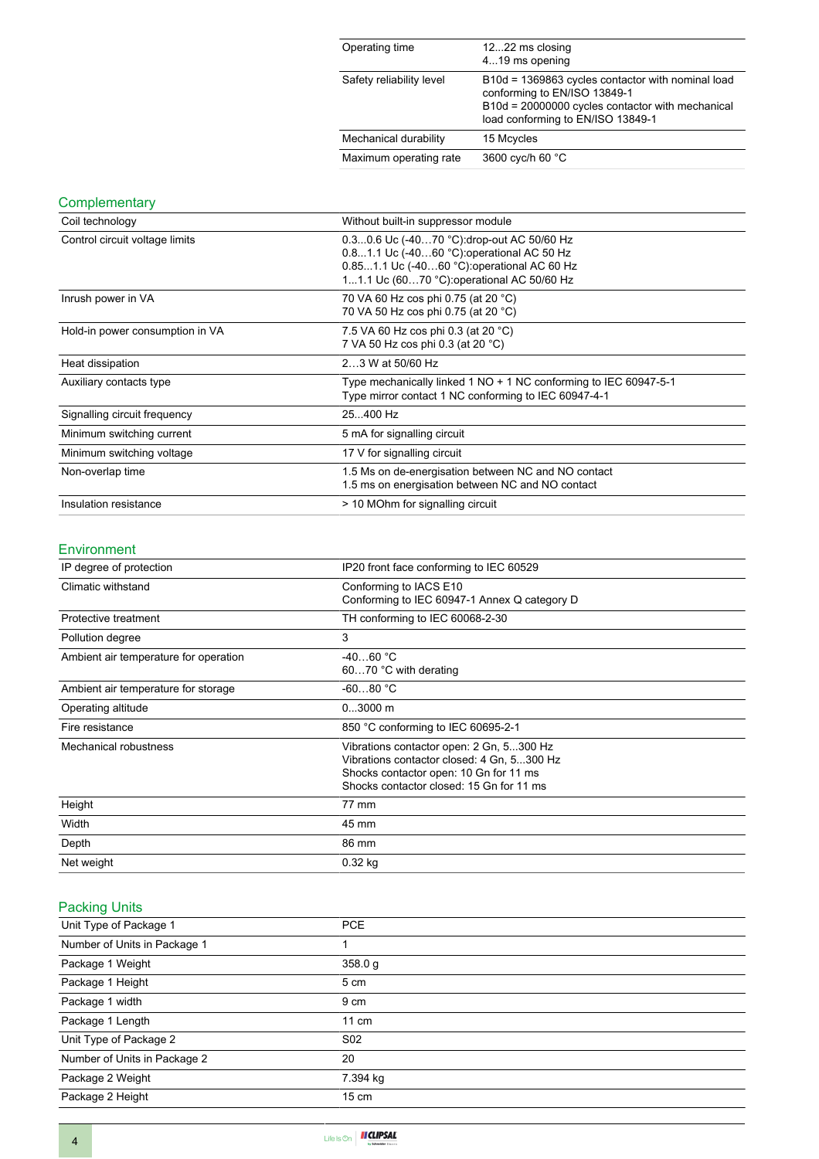| Operating time           | 1222 ms closing<br>419 ms opening                                                                                                                                          |
|--------------------------|----------------------------------------------------------------------------------------------------------------------------------------------------------------------------|
| Safety reliability level | B10d = 1369863 cycles contactor with nominal load<br>conforming to EN/ISO 13849-1<br>B10d = 20000000 cycles contactor with mechanical<br>load conforming to EN/ISO 13849-1 |
| Mechanical durability    | 15 Mcycles                                                                                                                                                                 |
| Maximum operating rate   | 3600 cyc/h 60 °C                                                                                                                                                           |

## **Complementary**

| Coil technology                 | Without built-in suppressor module                                                                                                                                                   |  |  |
|---------------------------------|--------------------------------------------------------------------------------------------------------------------------------------------------------------------------------------|--|--|
| Control circuit voltage limits  | 0.30.6 Uc (-4070 °C): drop-out AC 50/60 Hz<br>0.81.1 Uc (-4060 °C) operational AC 50 Hz<br>0.851.1 Uc (-4060 °C): operational AC 60 Hz<br>11.1 Uc (6070 °C): operational AC 50/60 Hz |  |  |
| Inrush power in VA              | 70 VA 60 Hz cos phi 0.75 (at 20 °C)<br>70 VA 50 Hz cos phi 0.75 (at 20 °C)                                                                                                           |  |  |
| Hold-in power consumption in VA | 7.5 VA 60 Hz cos phi 0.3 (at 20 °C)<br>7 VA 50 Hz cos phi 0.3 (at 20 °C)                                                                                                             |  |  |
| Heat dissipation                | 23 W at 50/60 Hz                                                                                                                                                                     |  |  |
| Auxiliary contacts type         | Type mechanically linked 1 NO + 1 NC conforming to IEC 60947-5-1<br>Type mirror contact 1 NC conforming to IEC 60947-4-1                                                             |  |  |
| Signalling circuit frequency    | 25400 Hz                                                                                                                                                                             |  |  |
| Minimum switching current       | 5 mA for signalling circuit                                                                                                                                                          |  |  |
| Minimum switching voltage       | 17 V for signalling circuit                                                                                                                                                          |  |  |
| Non-overlap time                | 1.5 Ms on de-energisation between NC and NO contact<br>1.5 ms on energisation between NC and NO contact                                                                              |  |  |
| Insulation resistance           | > 10 MOhm for signalling circuit                                                                                                                                                     |  |  |

#### Environment

| IP degree of protection               | IP20 front face conforming to IEC 60529                                                                                                                                      |  |
|---------------------------------------|------------------------------------------------------------------------------------------------------------------------------------------------------------------------------|--|
| Climatic withstand                    | Conforming to IACS E10<br>Conforming to IEC 60947-1 Annex Q category D                                                                                                       |  |
| Protective treatment                  | TH conforming to IEC 60068-2-30                                                                                                                                              |  |
| Pollution degree                      | 3                                                                                                                                                                            |  |
| Ambient air temperature for operation | $-4060 °C$<br>6070 °C with derating                                                                                                                                          |  |
| Ambient air temperature for storage   | $-6080 °C$                                                                                                                                                                   |  |
| Operating altitude                    | $03000$ m                                                                                                                                                                    |  |
| Fire resistance                       | 850 °C conforming to IEC 60695-2-1                                                                                                                                           |  |
| Mechanical robustness                 | Vibrations contactor open: 2 Gn, 5300 Hz<br>Vibrations contactor closed: 4 Gn, 5300 Hz<br>Shocks contactor open: 10 Gn for 11 ms<br>Shocks contactor closed: 15 Gn for 11 ms |  |
| Height                                | 77 mm                                                                                                                                                                        |  |
| Width                                 | 45 mm                                                                                                                                                                        |  |
| Depth                                 | 86 mm                                                                                                                                                                        |  |
| Net weight                            | $0.32$ kg                                                                                                                                                                    |  |

# Packing Units

| Unit Type of Package 1       | <b>PCE</b>      |
|------------------------------|-----------------|
| Number of Units in Package 1 |                 |
| Package 1 Weight             | 358.0 g         |
| Package 1 Height             | 5 cm            |
| Package 1 width              | 9 cm            |
| Package 1 Length             | $11 \text{ cm}$ |
| Unit Type of Package 2       | S <sub>02</sub> |
| Number of Units in Package 2 | 20              |
| Package 2 Weight             | 7.394 kg        |
| Package 2 Height             | $15 \text{ cm}$ |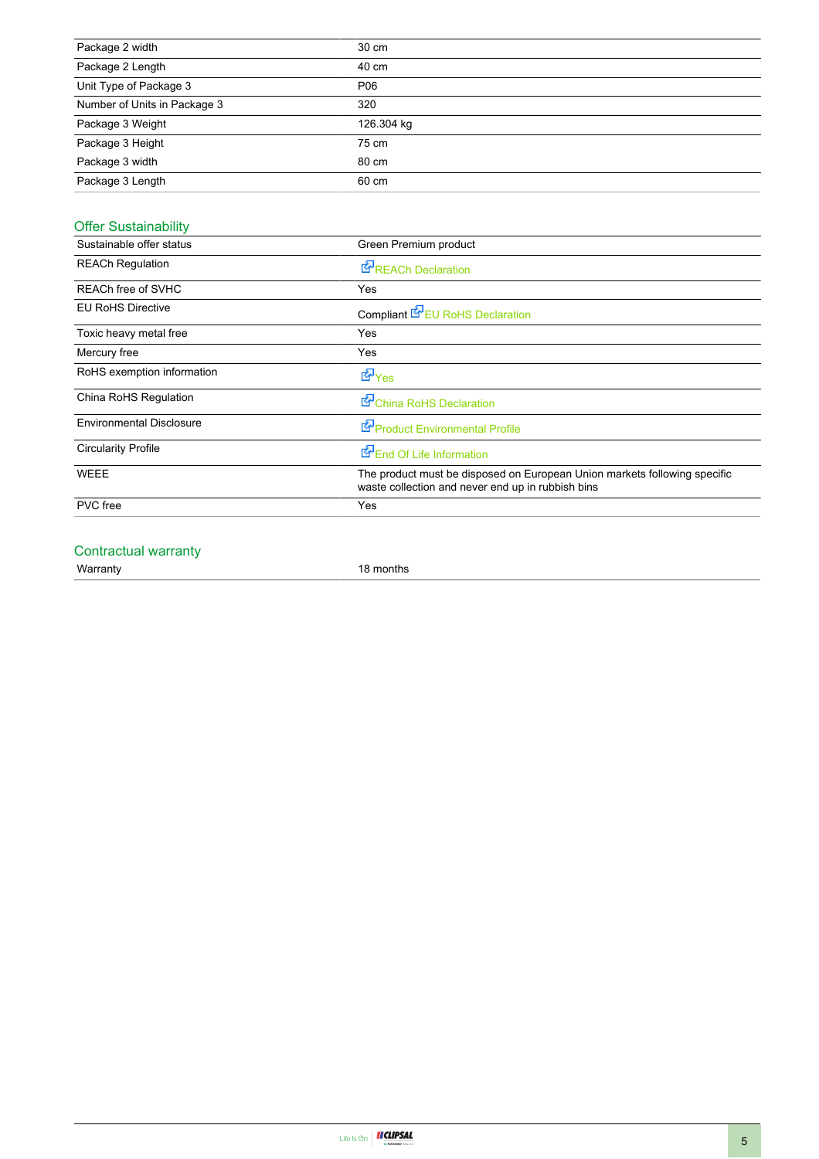| Package 2 width              | 30 cm      |
|------------------------------|------------|
| Package 2 Length             | 40 cm      |
| Unit Type of Package 3       | P06        |
| Number of Units in Package 3 | 320        |
| Package 3 Weight             | 126.304 kg |
| Package 3 Height             | 75 cm      |
| Package 3 width              | 80 cm      |
| Package 3 Length             | 60 cm      |

# Offer Sustainability

| Sustainable offer status        | Green Premium product                                                                                                          |  |  |  |
|---------------------------------|--------------------------------------------------------------------------------------------------------------------------------|--|--|--|
| <b>REACh Regulation</b>         | <b>E</b> REACh Declaration                                                                                                     |  |  |  |
| REACh free of SVHC              | Yes                                                                                                                            |  |  |  |
| <b>EU RoHS Directive</b>        | Compliant <b>E</b> EU RoHS Declaration                                                                                         |  |  |  |
| Toxic heavy metal free          | Yes                                                                                                                            |  |  |  |
| Mercury free                    | Yes                                                                                                                            |  |  |  |
| RoHS exemption information      | <b>E</b> Yes                                                                                                                   |  |  |  |
| China RoHS Regulation           | China RoHS Declaration                                                                                                         |  |  |  |
| <b>Environmental Disclosure</b> | Product Environmental Profile                                                                                                  |  |  |  |
| <b>Circularity Profile</b>      | End Of Life Information                                                                                                        |  |  |  |
| <b>WEEE</b>                     | The product must be disposed on European Union markets following specific<br>waste collection and never end up in rubbish bins |  |  |  |
| <b>PVC</b> free                 | Yes                                                                                                                            |  |  |  |
|                                 |                                                                                                                                |  |  |  |

### Contractual warranty

Warranty 18 months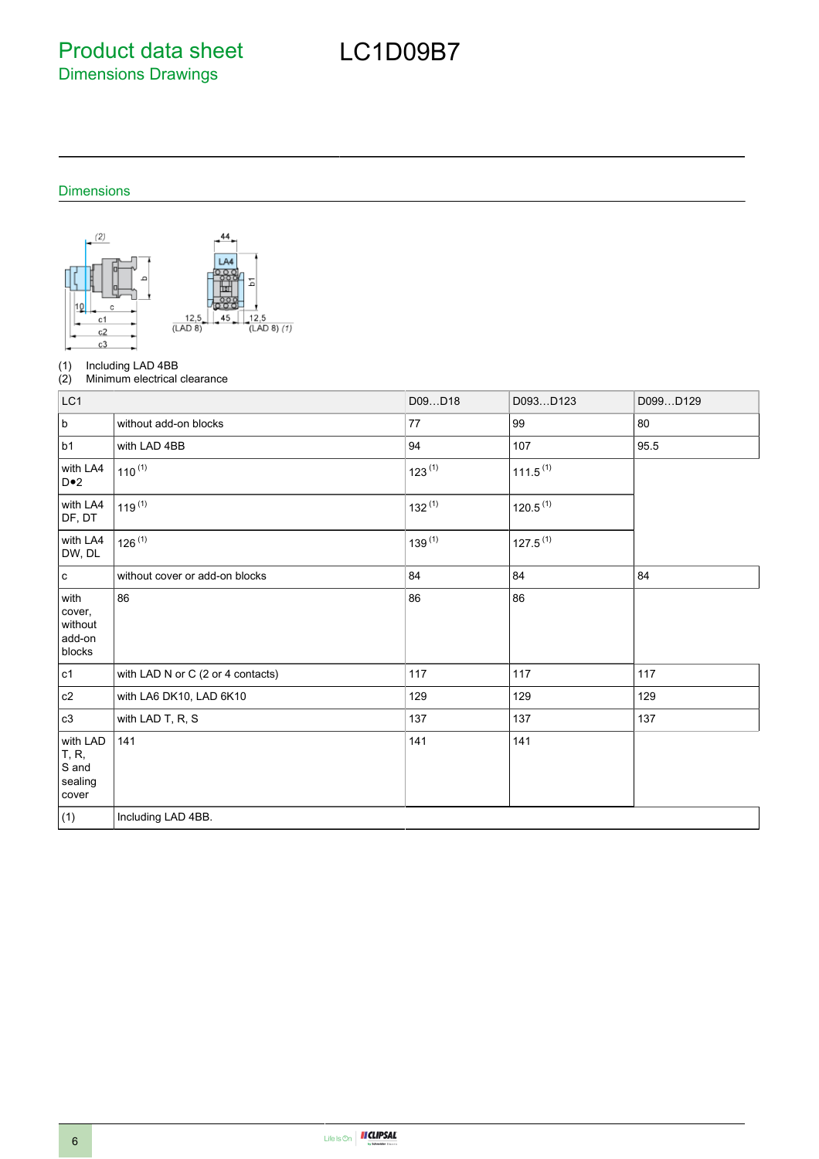Product data sheet Dimensions Drawings

# LC1D09B7

### Dimensions



(1) Including LAD 4BB<br>(2) Minimum electrical

Minimum electrical clearance

| LC1                                                    |                                   | D09D18      | D093D123             | D099D129 |
|--------------------------------------------------------|-----------------------------------|-------------|----------------------|----------|
| $\sf b$                                                | without add-on blocks             | 77          | 99                   | 80       |
| b1                                                     | with LAD 4BB                      | 94          | 107                  | 95.5     |
| with LA4<br>$D \bullet 2$                              | $110^{(1)}$                       | $123^{(1)}$ | $111.5^{(1)}$        |          |
| with LA4<br>DF, DT                                     | $119^{(1)}$                       | $132^{(1)}$ | 120.5 <sup>(1)</sup> |          |
| with LA4<br>DW, DL                                     | $126^{(1)}$                       | $139^{(1)}$ | $127.5^{(1)}$        |          |
| $\mathbf c$                                            | without cover or add-on blocks    | 84          | 84                   | 84       |
| with<br>cover,<br>without<br>add-on<br>blocks          | 86                                | 86          | 86                   |          |
| c1                                                     | with LAD N or C (2 or 4 contacts) | 117         | 117                  | 117      |
| c2                                                     | with LA6 DK10, LAD 6K10           | 129         | 129                  | 129      |
| c3                                                     | with LAD T, R, S                  | 137         | 137                  | 137      |
| with LAD<br><b>T</b> , R,<br>S and<br>sealing<br>cover | 141                               | 141         | 141                  |          |
| (1)                                                    | Including LAD 4BB.                |             |                      |          |